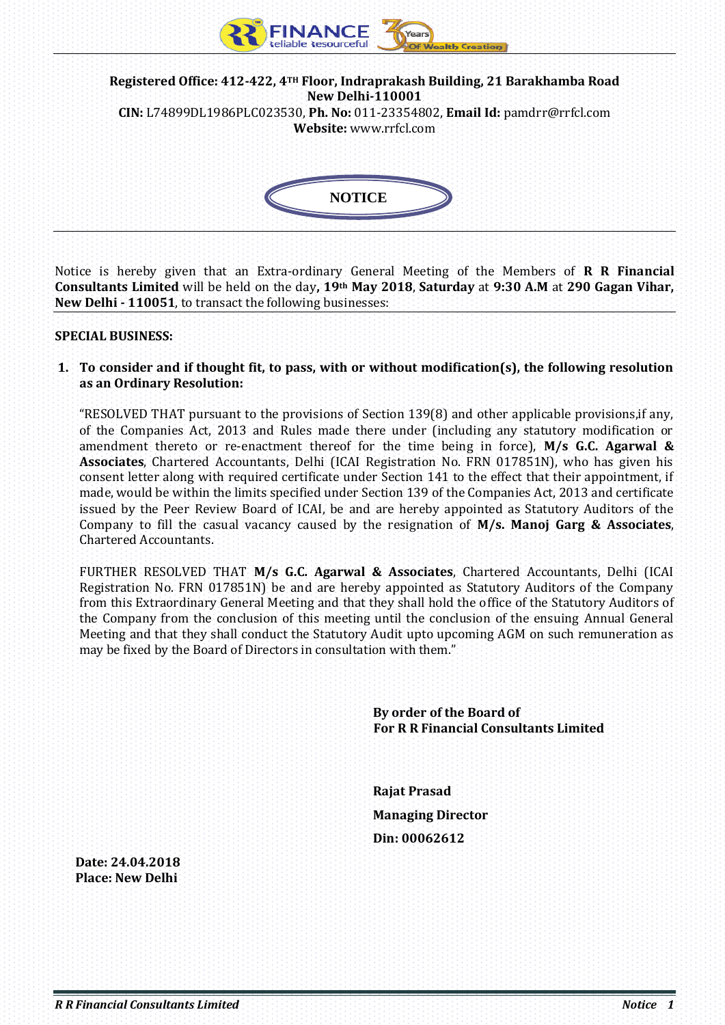

Notice is hereby given that an Extra-ordinary General Meeting of the Members of **R R Financial Consultants Limited** will be held on the day**, 19th May 2018**, **Saturday** at **9:30 A.M** at **290 Gagan Vihar, New Delhi - 110051**, to transact the following businesses:

#### **SPECIAL BUSINESS:**

**1. To consider and if thought fit, to pass, with or without modification(s), the following resolution as an Ordinary Resolution:** 

"RESOLVED THAT pursuant to the provisions of Section 139(8) and other applicable provisions,if any, of the Companies Act, 2013 and Rules made there under (including any statutory modification or amendment thereto or re-enactment thereof for the time being in force), **M/s G.C. Agarwal & Associates**, Chartered Accountants, Delhi (ICAI Registration No. FRN 017851N), who has given his consent letter along with required certificate under Section 141 to the effect that their appointment, if made, would be within the limits specified under Section 139 of the Companies Act, 2013 and certificate issued by the Peer Review Board of ICAI, be and are hereby appointed as Statutory Auditors of the Company to fill the casual vacancy caused by the resignation of **M/s. Manoj Garg & Associates**, Chartered Accountants.

FURTHER RESOLVED THAT **M/s G.C. Agarwal & Associates**, Chartered Accountants, Delhi (ICAI Registration No. FRN 017851N) be and are hereby appointed as Statutory Auditors of the Company from this Extraordinary General Meeting and that they shall hold the office of the Statutory Auditors of the Company from the conclusion of this meeting until the conclusion of the ensuing Annual General Meeting and that they shall conduct the Statutory Audit upto upcoming AGM on such remuneration as may be fixed by the Board of Directors in consultation with them."

> **By order of the Board of For R R Financial Consultants Limited**

 **Rajat Prasad Managing Director Din: 00062612**

 **Date: 24.04.2018 Place: New Delhi**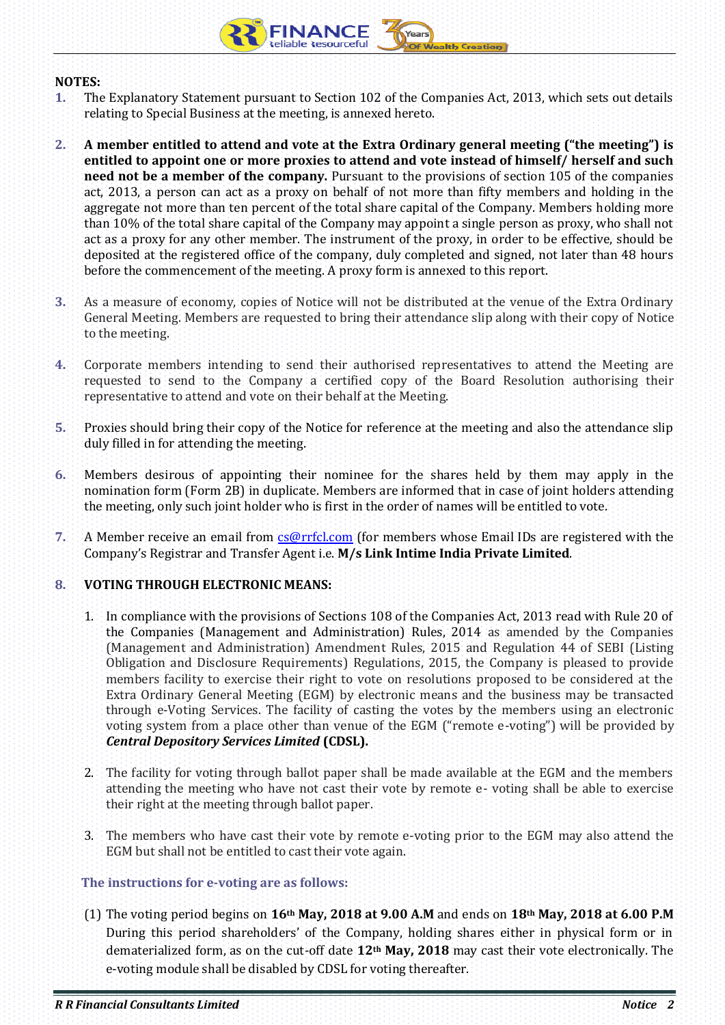

## **NOTES:**

- **1.** The Explanatory Statement pursuant to Section 102 of the Companies Act, 2013, which sets out details relating to Special Business at the meeting, is annexed hereto.
- **2. A member entitled to attend and vote at the Extra Ordinary general meeting ("the meeting") is entitled to appoint one or more proxies to attend and vote instead of himself/ herself and such need not be a member of the company.** Pursuant to the provisions of section 105 of the companies act, 2013, a person can act as a proxy on behalf of not more than fifty members and holding in the aggregate not more than ten percent of the total share capital of the Company. Members holding more than 10% of the total share capital of the Company may appoint a single person as proxy, who shall not act as a proxy for any other member. The instrument of the proxy, in order to be effective, should be deposited at the registered office of the company, duly completed and signed, not later than 48 hours before the commencement of the meeting. A proxy form is annexed to this report.
- **3.** As a measure of economy, copies of Notice will not be distributed at the venue of the Extra Ordinary General Meeting. Members are requested to bring their attendance slip along with their copy of Notice to the meeting.
- **4.** Corporate members intending to send their authorised representatives to attend the Meeting are requested to send to the Company a certified copy of the Board Resolution authorising their representative to attend and vote on their behalf at the Meeting.
- **5.** Proxies should bring their copy of the Notice for reference at the meeting and also the attendance slip duly filled in for attending the meeting.
- **6.** Members desirous of appointing their nominee for the shares held by them may apply in the nomination form (Form 2B) in duplicate. Members are informed that in case of joint holders attending the meeting, only such joint holder who is first in the order of names will be entitled to vote.
- **7.** A Member receive an email from **cs@rrfcl.com** (for members whose Email IDs are registered with the Company's Registrar and Transfer Agent i.e. **M/s Link Intime India Private Limited**.

## **8. VOTING THROUGH ELECTRONIC MEANS:**

- 1. In compliance with the provisions of Sections 108 of the Companies Act, 2013 read with Rule 20 of the Companies (Management and Administration) Rules, 2014 as amended by the Companies (Management and Administration) Amendment Rules, 2015 and Regulation 44 of SEBI (Listing Obligation and Disclosure Requirements) Regulations, 2015, the Company is pleased to provide members facility to exercise their right to vote on resolutions proposed to be considered at the Extra Ordinary General Meeting (EGM) by electronic means and the business may be transacted through e-Voting Services. The facility of casting the votes by the members using an electronic voting system from a place other than venue of the EGM ("remote e-voting") will be provided by *Central Depository Services Limited* **(CDSL).**
- 2. The facility for voting through ballot paper shall be made available at the EGM and the members attending the meeting who have not cast their vote by remote e- voting shall be able to exercise their right at the meeting through ballot paper.
- 3. The members who have cast their vote by remote e-voting prior to the EGM may also attend the EGM but shall not be entitled to cast their vote again.

#### **The instructions for e-voting are as follows:**

(1) The voting period begins on **16th May, 2018 at 9.00 A.M** and ends on **18th May, 2018 at 6.00 P.M** During this period shareholders' of the Company, holding shares either in physical form or in dematerialized form, as on the cut-off date **12th May, 2018** may cast their vote electronically. The e-voting module shall be disabled by CDSL for voting thereafter.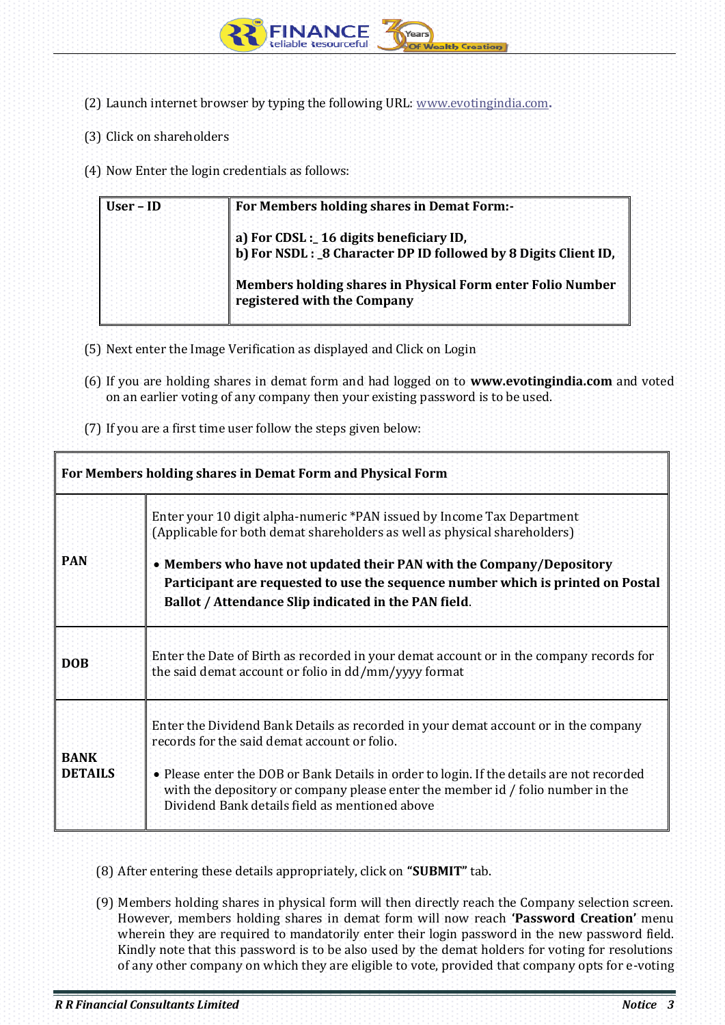

- (2) Launch internet browser by typing the following URL: [www.evotingindia.com](http://www.evotingindia.com/)**.**
- (3) Click on shareholders
- (4) Now Enter the login credentials as follows:

| ∣∶User – ID | For Members holding shares in Demat Form:-                                                                |  |
|-------------|-----------------------------------------------------------------------------------------------------------|--|
|             | a) For CDSL : 16 digits beneficiary ID,<br>b) For NSDL: 8 Character DP ID followed by 8 Digits Client ID, |  |
|             | Members holding shares in Physical Form enter Folio Number<br>registered with the Company                 |  |

- (5) Next enter the Image Verification as displayed and Click on Login
- (6) If you are holding shares in demat form and had logged on to **www.evotingindia.com** and voted on an earlier voting of any company then your existing password is to be used.
- (7) If you are a first time user follow the steps given below:

| For Members holding shares in Demat Form and Physical Form |                                                                                                                                                                                                                                                                                                                                                                        |  |  |
|------------------------------------------------------------|------------------------------------------------------------------------------------------------------------------------------------------------------------------------------------------------------------------------------------------------------------------------------------------------------------------------------------------------------------------------|--|--|
| <b>PAN</b>                                                 | Enter your 10 digit alpha-numeric *PAN issued by Income Tax Department<br>(Applicable for both demat shareholders as well as physical shareholders)<br>• Members who have not updated their PAN with the Company/Depository<br>Participant are requested to use the sequence number which is printed on Postal<br>Ballot / Attendance Slip indicated in the PAN field. |  |  |
| <b>DOB</b>                                                 | Enter the Date of Birth as recorded in your demat account or in the company records for<br>the said demat account or folio in dd/mm/yyyy format                                                                                                                                                                                                                        |  |  |
| <b>BANK</b><br><b>DETAILS</b>                              | Enter the Dividend Bank Details as recorded in your demat account or in the company<br>records for the said demat account or folio.<br>• Please enter the DOB or Bank Details in order to login. If the details are not recorded<br>with the depository or company please enter the member id / folio number in the<br>Dividend Bank details field as mentioned above  |  |  |

- (8) After entering these details appropriately, click on **"SUBMIT"** tab.
- (9) Members holding shares in physical form will then directly reach the Company selection screen. However, members holding shares in demat form will now reach **'Password Creation'** menu wherein they are required to mandatorily enter their login password in the new password field. Kindly note that this password is to be also used by the demat holders for voting for resolutions of any other company on which they are eligible to vote, provided that company opts for e-voting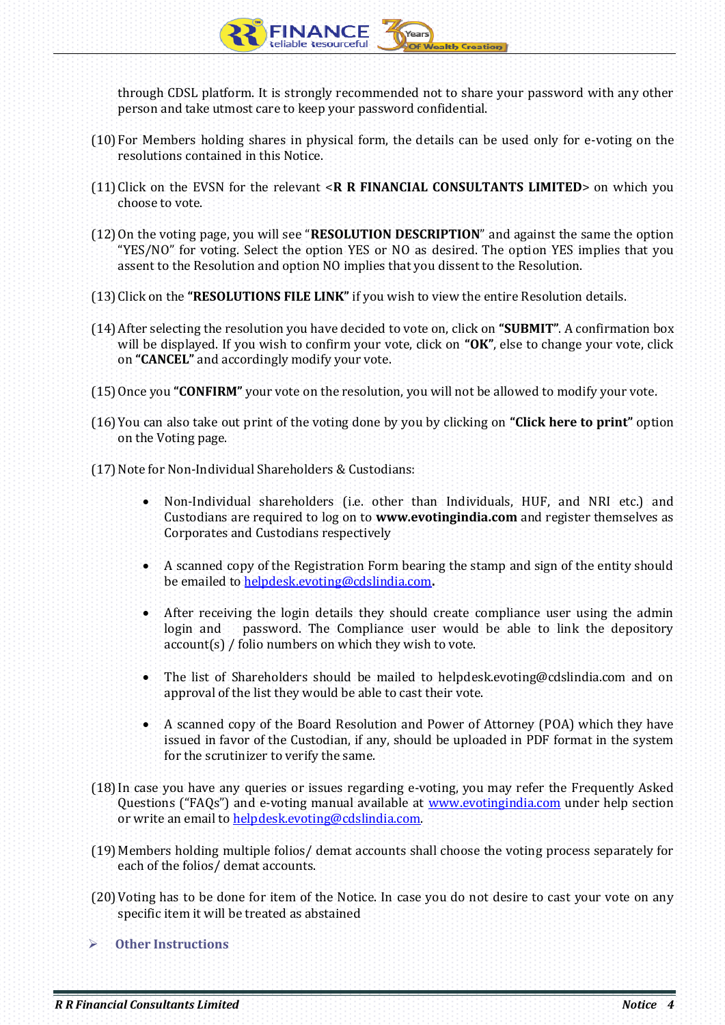through CDSL platform. It is strongly recommended not to share your password with any other person and take utmost care to keep your password confidential.

- (10)For Members holding shares in physical form, the details can be used only for e-voting on the resolutions contained in this Notice.
- (11)Click on the EVSN for the relevant <**R R FINANCIAL CONSULTANTS LIMITED**> on which you choose to vote.
- (12)On the voting page, you will see "**RESOLUTION DESCRIPTION**" and against the same the option "YES/NO" for voting. Select the option YES or NO as desired. The option YES implies that you assent to the Resolution and option NO implies that you dissent to the Resolution.
- (13)Click on the **"RESOLUTIONS FILE LINK"** if you wish to view the entire Resolution details.
- (14)After selecting the resolution you have decided to vote on, click on **"SUBMIT"**. A confirmation box will be displayed. If you wish to confirm your vote, click on **"OK"**, else to change your vote, click on **"CANCEL"** and accordingly modify your vote.
- (15)Once you **"CONFIRM"** your vote on the resolution, you will not be allowed to modify your vote.
- (16)You can also take out print of the voting done by you by clicking on **"Click here to print"** option on the Voting page.
- (17) Note for Non-Individual Shareholders & Custodians:
	- Non-Individual shareholders (i.e. other than Individuals, HUF, and NRI etc.) and Custodians are required to log on to **www.evotingindia.com** and register themselves as Corporates and Custodians respectively
	- A scanned copy of the Registration Form bearing the stamp and sign of the entity should be emailed t[o helpdesk.evoting@cdslindia.com](mailto:helpdesk.evoting@cdslindia.com)**.**
	- After receiving the login details they should create compliance user using the admin login and password. The Compliance user would be able to link the depository account(s) / folio numbers on which they wish to vote.
	- The list of Shareholders should be mailed to helpdesk.evoting@cdslindia.com and on approval of the list they would be able to cast their vote.
	- A scanned copy of the Board Resolution and Power of Attorney (POA) which they have issued in favor of the Custodian, if any, should be uploaded in PDF format in the system for the scrutinizer to verify the same.
- (18)In case you have any queries or issues regarding e-voting, you may refer the Frequently Asked Questions ("FAQs") and e-voting manual available at [www.evotingindia.com](http://www.evotingindia.com/) under help section or write an email t[o helpdesk.evoting@cdslindia.com.](mailto:helpdesk.evoting@cdslindia.com)
- (19)Members holding multiple folios/ demat accounts shall choose the voting process separately for each of the folios/ demat accounts.
- (20)Voting has to be done for item of the Notice. In case you do not desire to cast your vote on any specific item it will be treated as abstained
- **Other Instructions**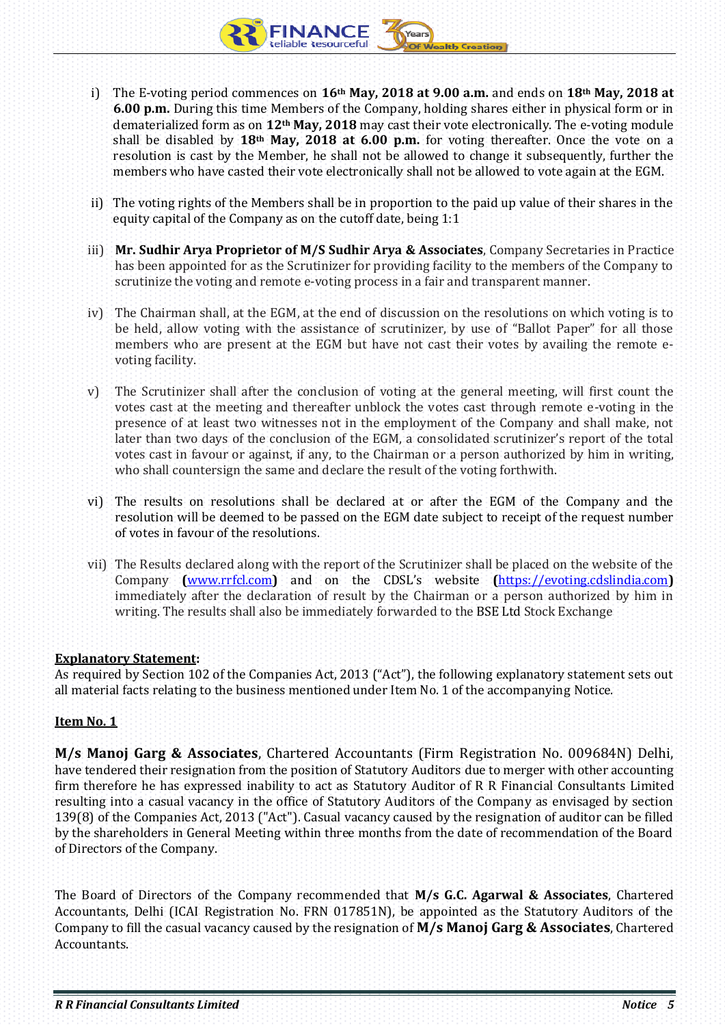- i) The E-voting period commences on **16th May, 2018 at 9.00 a.m.** and ends on **18th May, 2018 at 6.00 p.m.** During this time Members of the Company, holding shares either in physical form or in dematerialized form as on **12th May, 2018** may cast their vote electronically. The e-voting module shall be disabled by **18th May, 2018 at 6.00 p.m.** for voting thereafter. Once the vote on a resolution is cast by the Member, he shall not be allowed to change it subsequently, further the members who have casted their vote electronically shall not be allowed to vote again at the EGM.
- ii) The voting rights of the Members shall be in proportion to the paid up value of their shares in the equity capital of the Company as on the cutoff date, being 1:1
- iii) **Mr. Sudhir Arya Proprietor of M/S Sudhir Arya & Associates**, Company Secretaries in Practice has been appointed for as the Scrutinizer for providing facility to the members of the Company to scrutinize the voting and remote e-voting process in a fair and transparent manner.
- iv) The Chairman shall, at the EGM, at the end of discussion on the resolutions on which voting is to be held, allow voting with the assistance of scrutinizer, by use of "Ballot Paper" for all those members who are present at the EGM but have not cast their votes by availing the remote evoting facility.
- v) The Scrutinizer shall after the conclusion of voting at the general meeting, will first count the votes cast at the meeting and thereafter unblock the votes cast through remote e-voting in the presence of at least two witnesses not in the employment of the Company and shall make, not later than two days of the conclusion of the EGM, a consolidated scrutinizer's report of the total votes cast in favour or against, if any, to the Chairman or a person authorized by him in writing, who shall countersign the same and declare the result of the voting forthwith.
- vi) The results on resolutions shall be declared at or after the EGM of the Company and the resolution will be deemed to be passed on the EGM date subject to receipt of the request number of votes in favour of the resolutions.
- vii) The Results declared along with the report of the Scrutinizer shall be placed on the website of the Company **(**[www.rrfcl.com](http://www.rrfcl.com/)**)** and on the CDSL's website **(**[https://evoting.cdslindia.com](https://evoting.cdslindia.com/)**)** immediately after the declaration of result by the Chairman or a person authorized by him in writing. The results shall also be immediately forwarded to the BSE Ltd Stock Exchange

## **Explanatory Statement:**

As required by Section 102 of the Companies Act, 2013 ("Act"), the following explanatory statement sets out all material facts relating to the business mentioned under Item No. 1 of the accompanying Notice.

# **Item No. 1**

**M/s Manoj Garg & Associates**, Chartered Accountants (Firm Registration No. 009684N) Delhi, have tendered their resignation from the position of Statutory Auditors due to merger with other accounting firm therefore he has expressed inability to act as Statutory Auditor of R R Financial Consultants Limited resulting into a casual vacancy in the office of Statutory Auditors of the Company as envisaged by section 139(8) of the Companies Act, 2013 ("Act"). Casual vacancy caused by the resignation of auditor can be filled by the shareholders in General Meeting within three months from the date of recommendation of the Board of Directors of the Company.

The Board of Directors of the Company recommended that **M/s G.C. Agarwal & Associates**, Chartered Accountants, Delhi (ICAI Registration No. FRN 017851N), be appointed as the Statutory Auditors of the Company to fill the casual vacancy caused by the resignation of **M/s Manoj Garg & Associates**, Chartered **Accountants**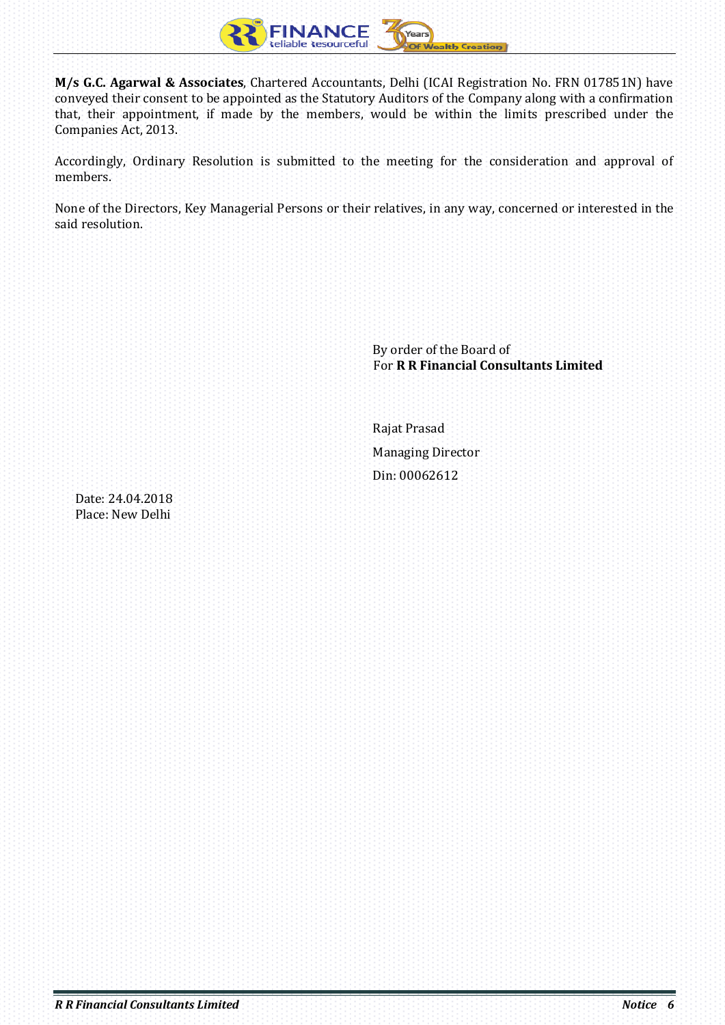

**M/s G.C. Agarwal & Associates**, Chartered Accountants, Delhi (ICAI Registration No. FRN 017851N) have conveyed their consent to be appointed as the Statutory Auditors of the Company along with a confirmation that, their appointment, if made by the members, would be within the limits prescribed under the Companies Act, 2013.

Accordingly, Ordinary Resolution is submitted to the meeting for the consideration and approval of members.

None of the Directors, Key Managerial Persons or their relatives, in any way, concerned or interested in the said resolution.

|                                      | By order of the Board of<br>For R R Financial Consultants Limited |
|--------------------------------------|-------------------------------------------------------------------|
|                                      | Rajat Prasad<br><b>Managing Director</b>                          |
|                                      | Din: 00062612                                                     |
| Date: 24.04.2018<br>Place: New Delhi |                                                                   |
|                                      |                                                                   |
|                                      |                                                                   |
|                                      |                                                                   |
|                                      |                                                                   |
|                                      |                                                                   |
|                                      |                                                                   |
|                                      |                                                                   |
|                                      |                                                                   |
|                                      |                                                                   |
|                                      |                                                                   |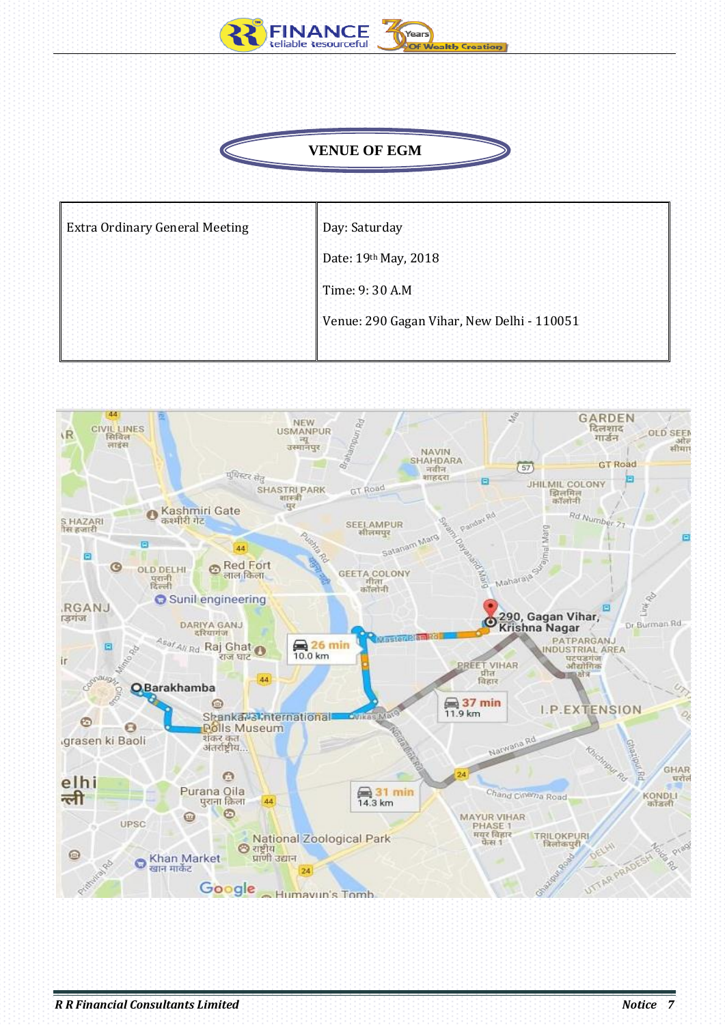

# **VENUE OF EGM**

| <b>Extra Ordinary General Meeting</b> | Day: Saturday                              |
|---------------------------------------|--------------------------------------------|
|                                       | Date: 19th May, 2018                       |
|                                       | Time: 9: 30 A.M.                           |
|                                       | Venue: 290 Gagan Vihar, New Delhi - 110051 |
|                                       |                                            |